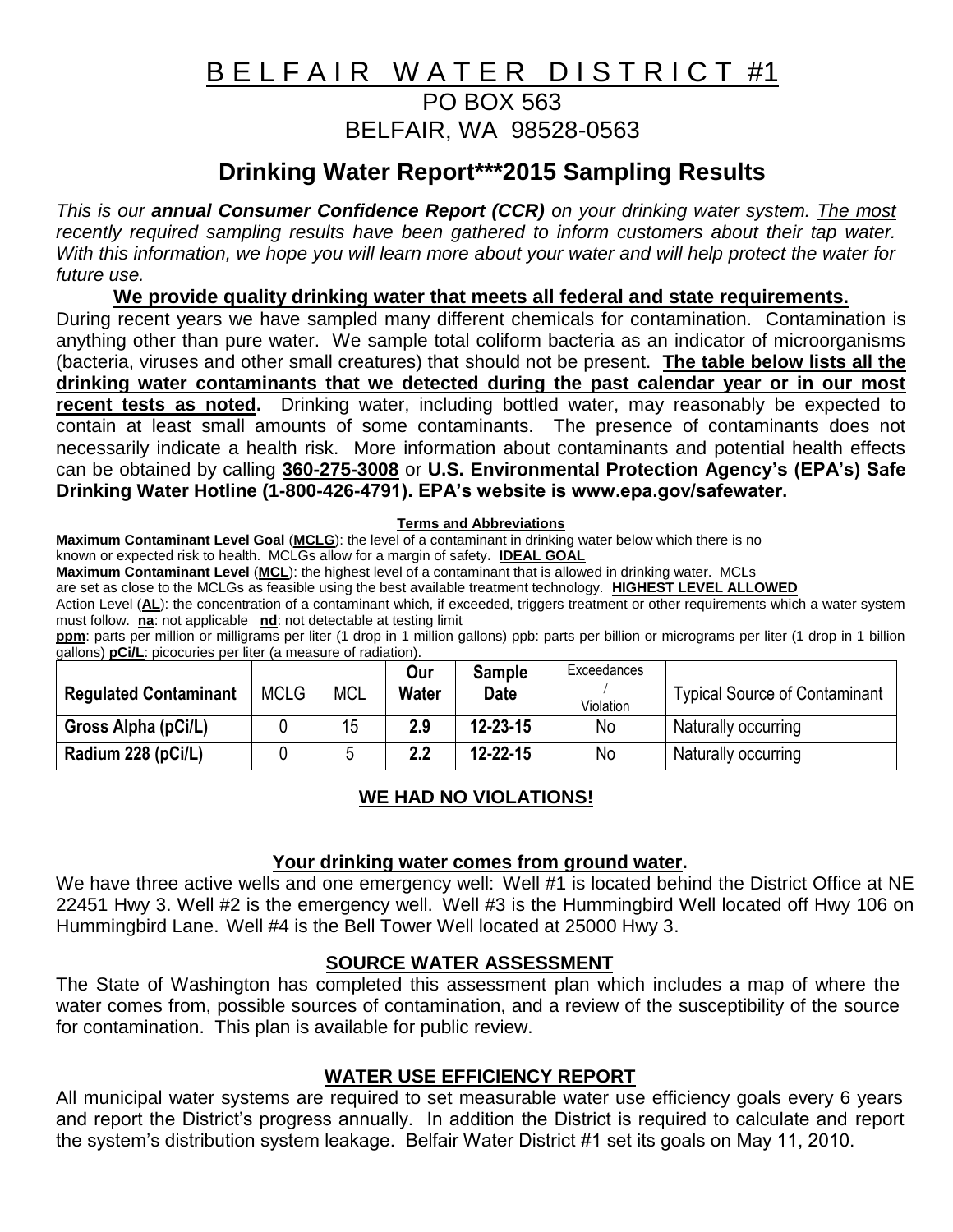# B E L F A I R W A T E R D I S T R I C T #1 PO BOX 563 BELFAIR, WA 98528-0563

# **Drinking Water Report\*\*\*2015 Sampling Results**

*This is our annual Consumer Confidence Report (CCR) on your drinking water system. The most recently required sampling results have been gathered to inform customers about their tap water. With this information, we hope you will learn more about your water and will help protect the water for future use.*

**We provide quality drinking water that meets all federal and state requirements.**

During recent years we have sampled many different chemicals for contamination. Contamination is anything other than pure water. We sample total coliform bacteria as an indicator of microorganisms (bacteria, viruses and other small creatures) that should not be present. **The table below lists all the drinking water contaminants that we detected during the past calendar year or in our most recent tests as noted.** Drinking water, including bottled water, may reasonably be expected to contain at least small amounts of some contaminants. The presence of contaminants does not necessarily indicate a health risk. More information about contaminants and potential health effects can be obtained by calling **360-275-3008** or **U.S. Environmental Protection Agency's (EPA's) Safe Drinking Water Hotline (1-800-426-4791). EPA's website is www.epa.gov/safewater.**

**Terms and Abbreviations**

**Maximum Contaminant Level Goal** (**MCLG**): the level of a contaminant in drinking water below which there is no

known or expected risk to health. MCLGs allow for a margin of safety**. IDEAL GOAL**

**Maximum Contaminant Level** (**MCL**): the highest level of a contaminant that is allowed in drinking water. MCLs

are set as close to the MCLGs as feasible using the best available treatment technology. **HIGHEST LEVEL ALLOWED**

Action Level (**AL**): the concentration of a contaminant which, if exceeded, triggers treatment or other requirements which a water system must follow. **na**: not applicable **nd**: not detectable at testing limit

**ppm**: parts per million or milligrams per liter (1 drop in 1 million gallons) ppb: parts per billion or micrograms per liter (1 drop in 1 billion gallons) **pCi/L**: picocuries per liter (a measure of radiation).

|                              |             |            | Our          | <b>Sample</b>  | Exceedances |                                      |
|------------------------------|-------------|------------|--------------|----------------|-------------|--------------------------------------|
| <b>Regulated Contaminant</b> | <b>MCLG</b> | <b>MCL</b> | <b>Water</b> | <b>Date</b>    | Violation   | <b>Typical Source of Contaminant</b> |
| Gross Alpha (pCi/L)          |             | 15         | 2.9          | $12 - 23 - 15$ | No          | Naturally occurring                  |
| Radium 228 (pCi/L)           |             |            | 2.2          | $12 - 22 - 15$ | No          | Naturally occurring                  |

#### **WE HAD NO VIOLATIONS!**

#### **Your drinking water comes from ground water.**

We have three active wells and one emergency well: Well #1 is located behind the District Office at NE 22451 Hwy 3. Well #2 is the emergency well. Well #3 is the Hummingbird Well located off Hwy 106 on Hummingbird Lane. Well #4 is the Bell Tower Well located at 25000 Hwy 3.

## **SOURCE WATER ASSESSMENT**

The State of Washington has completed this assessment plan which includes a map of where the water comes from, possible sources of contamination, and a review of the susceptibility of the source for contamination. This plan is available for public review.

## **WATER USE EFFICIENCY REPORT**

All municipal water systems are required to set measurable water use efficiency goals every 6 years and report the District's progress annually. In addition the District is required to calculate and report the system's distribution system leakage. Belfair Water District #1 set its goals on May 11, 2010.